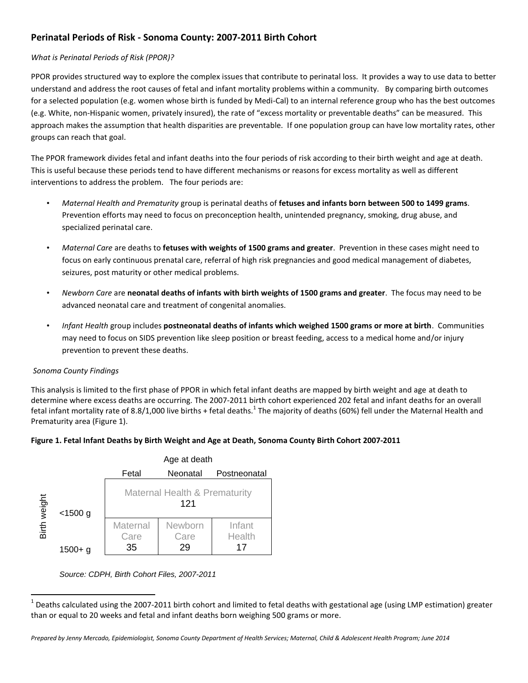# **Perinatal Periods of Risk - Sonoma County: 2007-2011 Birth Cohort**

## *What is Perinatal Periods of Risk (PPOR)?*

PPOR provides structured way to explore the complex issues that contribute to perinatal loss. It provides a way to use data to better understand and address the root causes of fetal and infant mortality problems within a community. By comparing birth outcomes for a selected population (e.g. women whose birth is funded by Medi-Cal) to an internal reference group who has the best outcomes (e.g. White, non-Hispanic women, privately insured), the rate of "excess mortality or preventable deaths" can be measured. This approach makes the assumption that health disparities are preventable. If one population group can have low mortality rates, other groups can reach that goal.

The PPOR framework divides fetal and infant deaths into the four periods of risk according to their birth weight and age at death. This is useful because these periods tend to have different mechanisms or reasons for excess mortality as well as different interventions to address the problem. The four periods are:

- *Maternal Health and Prematurity* group is perinatal deaths of **fetuses and infants born between 500 to 1499 grams**. Prevention efforts may need to focus on preconception health, unintended pregnancy, smoking, drug abuse, and specialized perinatal care.
- *Maternal Care* are deaths to **fetuses with weights of 1500 grams and greater**. Prevention in these cases might need to focus on early continuous prenatal care, referral of high risk pregnancies and good medical management of diabetes, seizures, post maturity or other medical problems.
- *Newborn Care* are **neonatal deaths of infants with birth weights of 1500 grams and greater**. The focus may need to be advanced neonatal care and treatment of congenital anomalies.
- *Infant Health* group includes **postneonatal deaths of infants which weighed 1500 grams or more at birth**. Communities may need to focus on SIDS prevention like sleep position or breast feeding, access to a medical home and/or injury prevention to prevent these deaths.

### *Sonoma County Findings*

l

This analysis is limited to the first phase of PPOR in which fetal infant deaths are mapped by birth weight and age at death to determine where excess deaths are occurring. The 2007-2011 birth cohort experienced 202 fetal and infant deaths for an overall fetal infant mortality rate of 8.8/1,000 live births + fetal deaths.<sup>1</sup> The majority of deaths (60%) fell under the Maternal Health and Prematurity area (Figure 1).



|                 |                       | Age at death                                    |                          |                        |  |  |  |
|-----------------|-----------------------|-------------------------------------------------|--------------------------|------------------------|--|--|--|
|                 |                       | Fetal                                           | Neonatal<br>Postneonatal |                        |  |  |  |
| weight<br>Birth | $<$ 1500 g<br>1500+ a | <b>Maternal Health &amp; Prematurity</b><br>121 |                          |                        |  |  |  |
|                 |                       | Maternal<br>Care<br>35                          | Newborn<br>Care<br>29    | Infant<br>Health<br>17 |  |  |  |

*Source: CDPH, Birth Cohort Files, 2007-2011*

 $^1$  Deaths calculated using the 2007-2011 birth cohort and limited to fetal deaths with gestational age (using LMP estimation) greater than or equal to 20 weeks and fetal and infant deaths born weighing 500 grams or more.

*Prepared by Jenny Mercado, Epidemiologist, Sonoma County Department of Health Services; Maternal, Child & Adolescent Health Program; June 2014*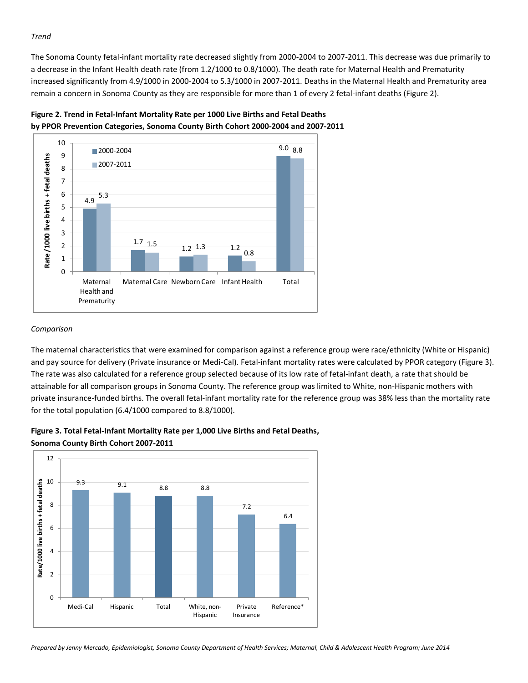#### *Trend*

The Sonoma County fetal-infant mortality rate decreased slightly from 2000-2004 to 2007-2011. This decrease was due primarily to a decrease in the Infant Health death rate (from 1.2/1000 to 0.8/1000). The death rate for Maternal Health and Prematurity increased significantly from 4.9/1000 in 2000-2004 to 5.3/1000 in 2007-2011. Deaths in the Maternal Health and Prematurity area remain a concern in Sonoma County as they are responsible for more than 1 of every 2 fetal-infant deaths (Figure 2).





#### *Comparison*

The maternal characteristics that were examined for comparison against a reference group were race/ethnicity (White or Hispanic) and pay source for delivery (Private insurance or Medi-Cal). Fetal-infant mortality rates were calculated by PPOR category (Figure 3). The rate was also calculated for a reference group selected because of its low rate of fetal-infant death, a rate that should be attainable for all comparison groups in Sonoma County. The reference group was limited to White, non-Hispanic mothers with private insurance-funded births. The overall fetal-infant mortality rate for the reference group was 38% less than the mortality rate for the total population (6.4/1000 compared to 8.8/1000).



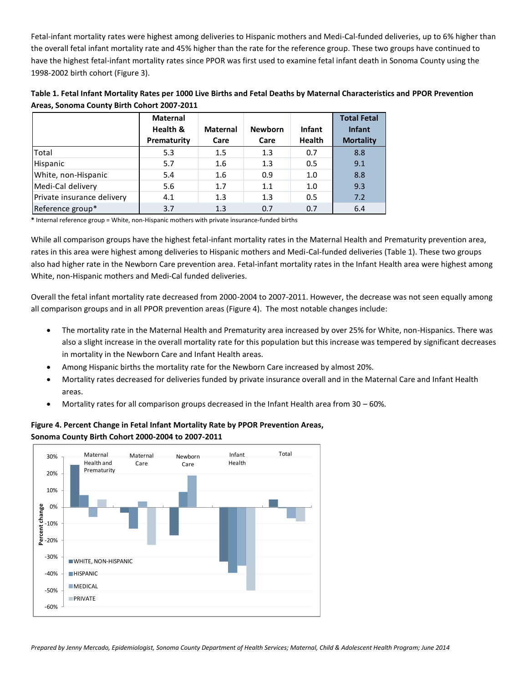Fetal-infant mortality rates were highest among deliveries to Hispanic mothers and Medi-Cal-funded deliveries, up to 6% higher than the overall fetal infant mortality rate and 45% higher than the rate for the reference group. These two groups have continued to have the highest fetal-infant mortality rates since PPOR was first used to examine fetal infant death in Sonoma County using the 1998-2002 birth cohort (Figure 3).

| Table 1. Fetal Infant Mortality Rates per 1000 Live Births and Fetal Deaths by Maternal Characteristics and PPOR Prevention |
|-----------------------------------------------------------------------------------------------------------------------------|
| Areas, Sonoma County Birth Cohort 2007-2011                                                                                 |

|                                                                                               | <b>Maternal</b><br>Health &<br>Prematurity | <b>Maternal</b><br>Care | <b>Newborn</b><br>Care | <b>Infant</b><br><b>Health</b> | <b>Total Fetal</b><br><b>Infant</b><br><b>Mortality</b> |  |  |
|-----------------------------------------------------------------------------------------------|--------------------------------------------|-------------------------|------------------------|--------------------------------|---------------------------------------------------------|--|--|
| Total                                                                                         | 5.3                                        | 1.5                     | 1.3                    | 0.7                            | 8.8                                                     |  |  |
| Hispanic                                                                                      | 5.7                                        | 1.6                     | 1.3                    | 0.5                            | 9.1                                                     |  |  |
| White, non-Hispanic                                                                           | 5.4                                        | 1.6                     | 0.9                    | 1.0                            | 8.8                                                     |  |  |
| Medi-Cal delivery                                                                             | 5.6                                        | 1.7                     | 1.1                    | 1.0                            | 9.3                                                     |  |  |
| Private insurance delivery                                                                    | 4.1                                        | 1.3                     | 1.3                    | 0.5                            | 7.2                                                     |  |  |
| Reference group*                                                                              | 3.7                                        | 1.3                     | 0.7                    | 0.7                            | 6.4                                                     |  |  |
| * Internal reference group = White, non-Hispanic mothers with private insurance-funded births |                                            |                         |                        |                                |                                                         |  |  |

While all comparison groups have the highest fetal-infant mortality rates in the Maternal Health and Prematurity prevention area, rates in this area were highest among deliveries to Hispanic mothers and Medi-Cal-funded deliveries (Table 1). These two groups also had higher rate in the Newborn Care prevention area. Fetal-infant mortality rates in the Infant Health area were highest among White, non-Hispanic mothers and Medi-Cal funded deliveries.

Overall the fetal infant mortality rate decreased from 2000-2004 to 2007-2011. However, the decrease was not seen equally among all comparison groups and in all PPOR prevention areas (Figure 4). The most notable changes include:

- The mortality rate in the Maternal Health and Prematurity area increased by over 25% for White, non-Hispanics. There was also a slight increase in the overall mortality rate for this population but this increase was tempered by significant decreases in mortality in the Newborn Care and Infant Health areas.
- Among Hispanic births the mortality rate for the Newborn Care increased by almost 20%.
- Mortality rates decreased for deliveries funded by private insurance overall and in the Maternal Care and Infant Health areas.
- Mortality rates for all comparison groups decreased in the Infant Health area from 30 60%.



**Figure 4. Percent Change in Fetal Infant Mortality Rate by PPOR Prevention Areas, Sonoma County Birth Cohort 2000-2004 to 2007-2011**